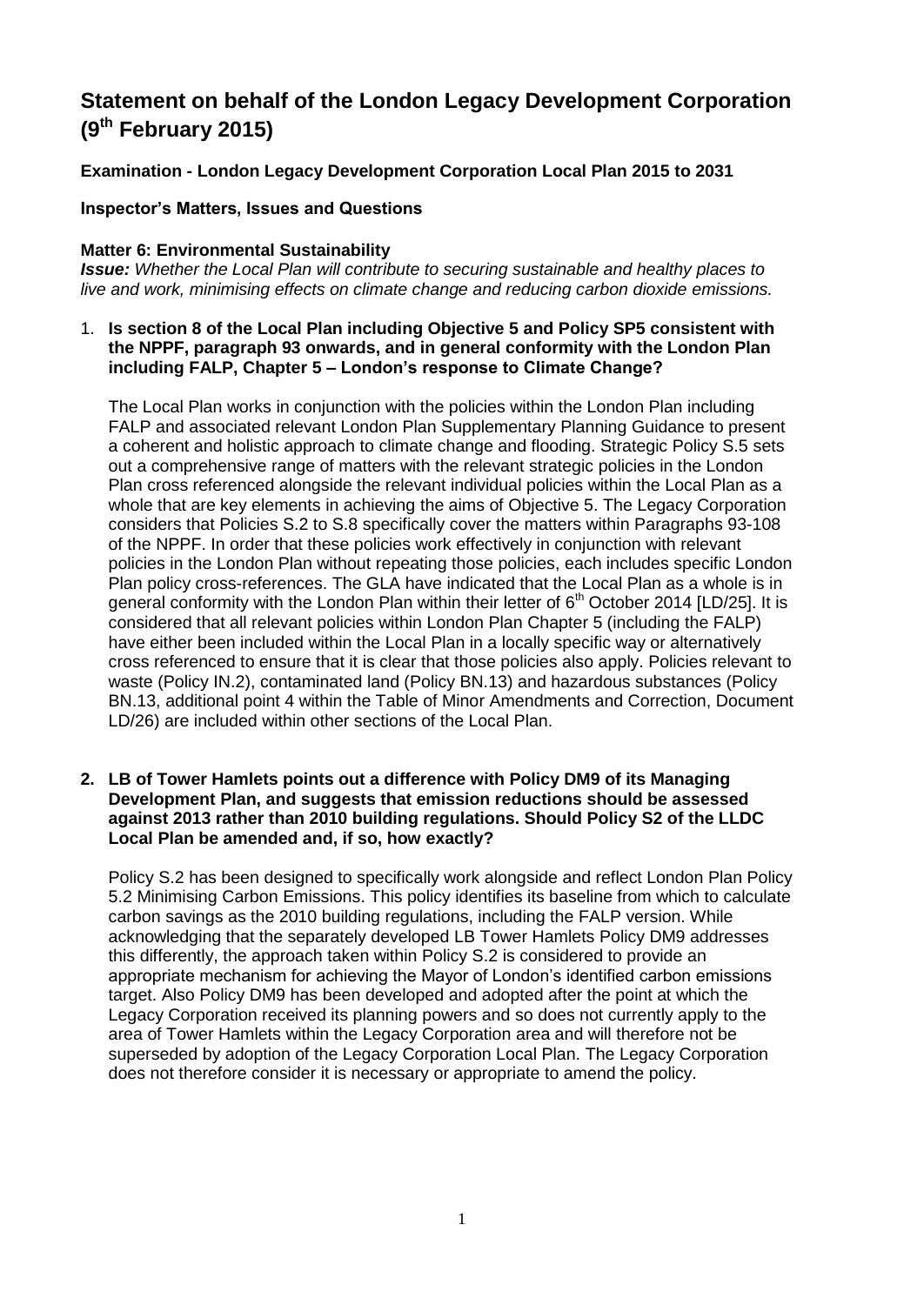# **Statement on behalf of the London Legacy Development Corporation (9th February 2015)**

**Examination - London Legacy Development Corporation Local Plan 2015 to 2031**

#### **Inspector's Matters, Issues and Questions**

#### **Matter 6: Environmental Sustainability**

*Issue: Whether the Local Plan will contribute to securing sustainable and healthy places to live and work, minimising effects on climate change and reducing carbon dioxide emissions.*

1. **Is section 8 of the Local Plan including Objective 5 and Policy SP5 consistent with the NPPF, paragraph 93 onwards, and in general conformity with the London Plan including FALP, Chapter 5 – London's response to Climate Change?**

The Local Plan works in conjunction with the policies within the London Plan including FALP and associated relevant London Plan Supplementary Planning Guidance to present a coherent and holistic approach to climate change and flooding. Strategic Policy S.5 sets out a comprehensive range of matters with the relevant strategic policies in the London Plan cross referenced alongside the relevant individual policies within the Local Plan as a whole that are key elements in achieving the aims of Objective 5. The Legacy Corporation considers that Policies S.2 to S.8 specifically cover the matters within Paragraphs 93-108 of the NPPF. In order that these policies work effectively in conjunction with relevant policies in the London Plan without repeating those policies, each includes specific London Plan policy cross-references. The GLA have indicated that the Local Plan as a whole is in general conformity with the London Plan within their letter of  $6<sup>th</sup>$  October 2014 [LD/25]. It is considered that all relevant policies within London Plan Chapter 5 (including the FALP) have either been included within the Local Plan in a locally specific way or alternatively cross referenced to ensure that it is clear that those policies also apply. Policies relevant to waste (Policy IN.2), contaminated land (Policy BN.13) and hazardous substances (Policy BN.13, additional point 4 within the Table of Minor Amendments and Correction, Document LD/26) are included within other sections of the Local Plan.

**2. LB of Tower Hamlets points out a difference with Policy DM9 of its Managing Development Plan, and suggests that emission reductions should be assessed against 2013 rather than 2010 building regulations. Should Policy S2 of the LLDC Local Plan be amended and, if so, how exactly?**

Policy S.2 has been designed to specifically work alongside and reflect London Plan Policy 5.2 Minimising Carbon Emissions. This policy identifies its baseline from which to calculate carbon savings as the 2010 building regulations, including the FALP version. While acknowledging that the separately developed LB Tower Hamlets Policy DM9 addresses this differently, the approach taken within Policy S.2 is considered to provide an appropriate mechanism for achieving the Mayor of London's identified carbon emissions target. Also Policy DM9 has been developed and adopted after the point at which the Legacy Corporation received its planning powers and so does not currently apply to the area of Tower Hamlets within the Legacy Corporation area and will therefore not be superseded by adoption of the Legacy Corporation Local Plan. The Legacy Corporation does not therefore consider it is necessary or appropriate to amend the policy.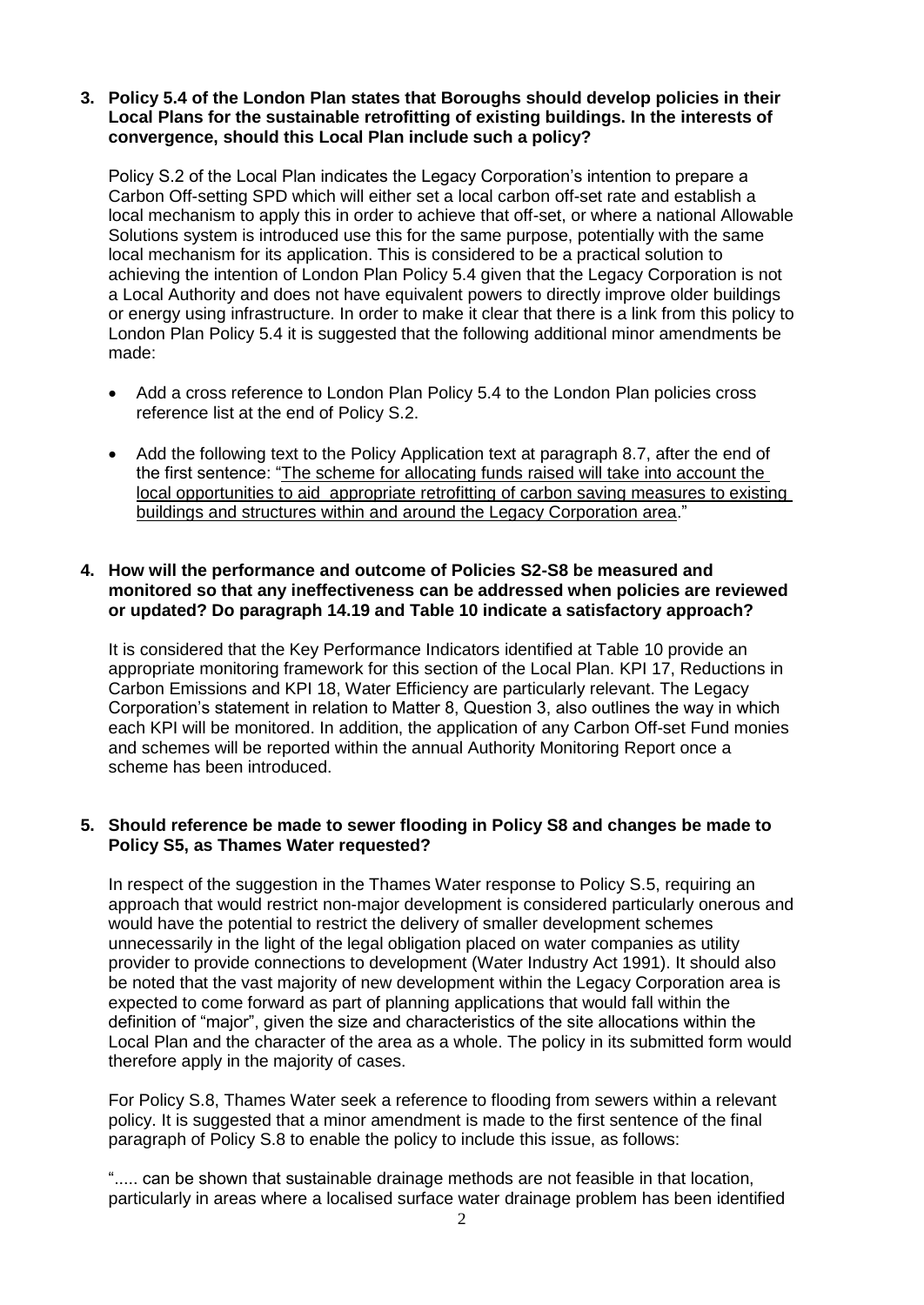#### **3. Policy 5.4 of the London Plan states that Boroughs should develop policies in their Local Plans for the sustainable retrofitting of existing buildings. In the interests of convergence, should this Local Plan include such a policy?**

Policy S.2 of the Local Plan indicates the Legacy Corporation's intention to prepare a Carbon Off-setting SPD which will either set a local carbon off-set rate and establish a local mechanism to apply this in order to achieve that off-set, or where a national Allowable Solutions system is introduced use this for the same purpose, potentially with the same local mechanism for its application. This is considered to be a practical solution to achieving the intention of London Plan Policy 5.4 given that the Legacy Corporation is not a Local Authority and does not have equivalent powers to directly improve older buildings or energy using infrastructure. In order to make it clear that there is a link from this policy to London Plan Policy 5.4 it is suggested that the following additional minor amendments be made:

- Add a cross reference to London Plan Policy 5.4 to the London Plan policies cross reference list at the end of Policy S.2.
- Add the following text to the Policy Application text at paragraph 8.7, after the end of the first sentence: "The scheme for allocating funds raised will take into account the local opportunities to aid appropriate retrofitting of carbon saving measures to existing buildings and structures within and around the Legacy Corporation area."

#### **4. How will the performance and outcome of Policies S2-S8 be measured and monitored so that any ineffectiveness can be addressed when policies are reviewed or updated? Do paragraph 14.19 and Table 10 indicate a satisfactory approach?**

It is considered that the Key Performance Indicators identified at Table 10 provide an appropriate monitoring framework for this section of the Local Plan. KPI 17, Reductions in Carbon Emissions and KPI 18, Water Efficiency are particularly relevant. The Legacy Corporation's statement in relation to Matter 8, Question 3, also outlines the way in which each KPI will be monitored. In addition, the application of any Carbon Off-set Fund monies and schemes will be reported within the annual Authority Monitoring Report once a scheme has been introduced.

#### **5. Should reference be made to sewer flooding in Policy S8 and changes be made to Policy S5, as Thames Water requested?**

In respect of the suggestion in the Thames Water response to Policy S.5, requiring an approach that would restrict non-major development is considered particularly onerous and would have the potential to restrict the delivery of smaller development schemes unnecessarily in the light of the legal obligation placed on water companies as utility provider to provide connections to development (Water Industry Act 1991). It should also be noted that the vast majority of new development within the Legacy Corporation area is expected to come forward as part of planning applications that would fall within the definition of "major", given the size and characteristics of the site allocations within the Local Plan and the character of the area as a whole. The policy in its submitted form would therefore apply in the majority of cases.

For Policy S.8, Thames Water seek a reference to flooding from sewers within a relevant policy. It is suggested that a minor amendment is made to the first sentence of the final paragraph of Policy S.8 to enable the policy to include this issue, as follows:

"..... can be shown that sustainable drainage methods are not feasible in that location, particularly in areas where a localised surface water drainage problem has been identified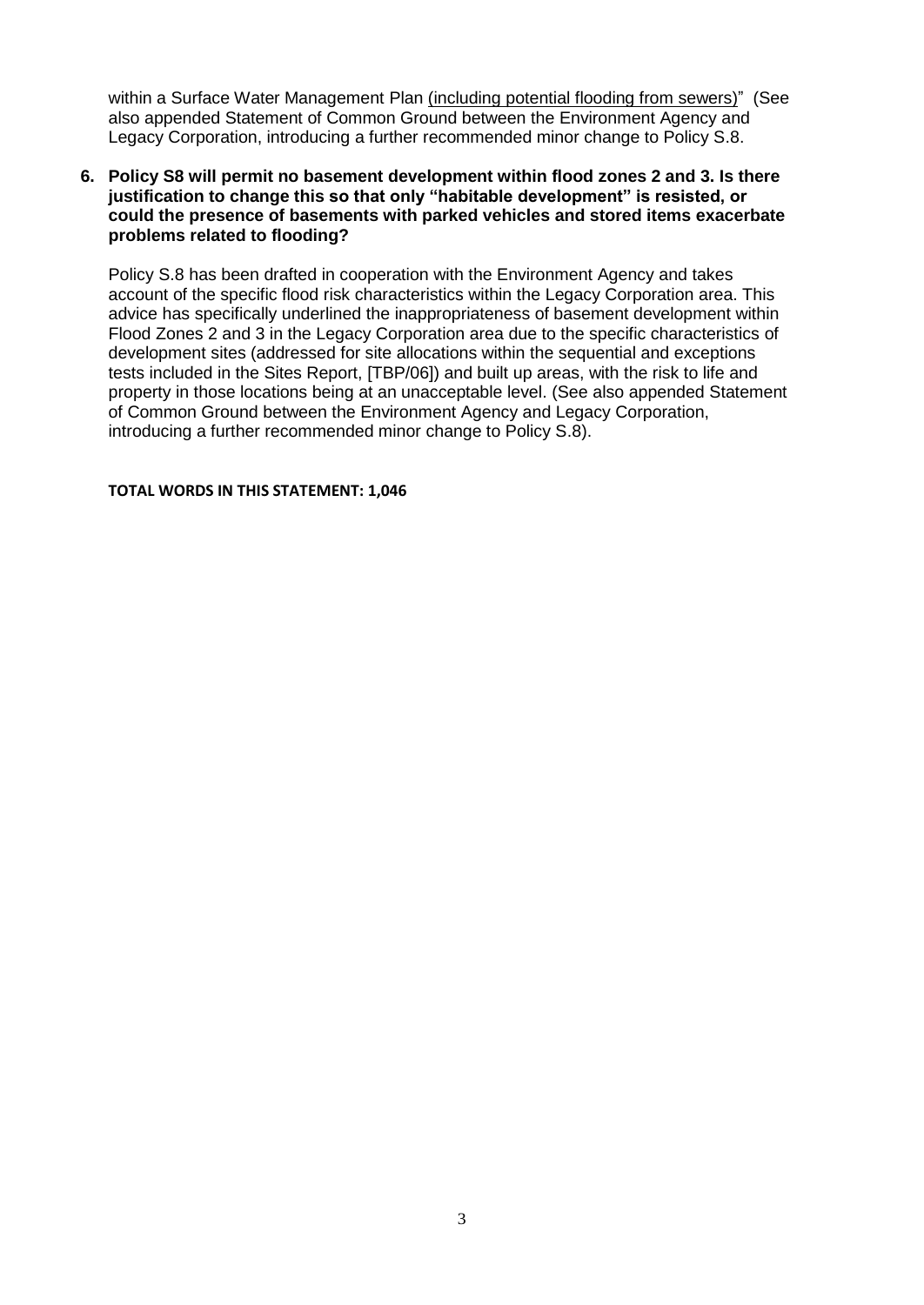within a Surface Water Management Plan (including potential flooding from sewers)" (See also appended Statement of Common Ground between the Environment Agency and Legacy Corporation, introducing a further recommended minor change to Policy S.8.

#### **6. Policy S8 will permit no basement development within flood zones 2 and 3. Is there justification to change this so that only "habitable development" is resisted, or could the presence of basements with parked vehicles and stored items exacerbate problems related to flooding?**

Policy S.8 has been drafted in cooperation with the Environment Agency and takes account of the specific flood risk characteristics within the Legacy Corporation area. This advice has specifically underlined the inappropriateness of basement development within Flood Zones 2 and 3 in the Legacy Corporation area due to the specific characteristics of development sites (addressed for site allocations within the sequential and exceptions tests included in the Sites Report, [TBP/06]) and built up areas, with the risk to life and property in those locations being at an unacceptable level. (See also appended Statement of Common Ground between the Environment Agency and Legacy Corporation, introducing a further recommended minor change to Policy S.8).

#### **TOTAL WORDS IN THIS STATEMENT: 1,046**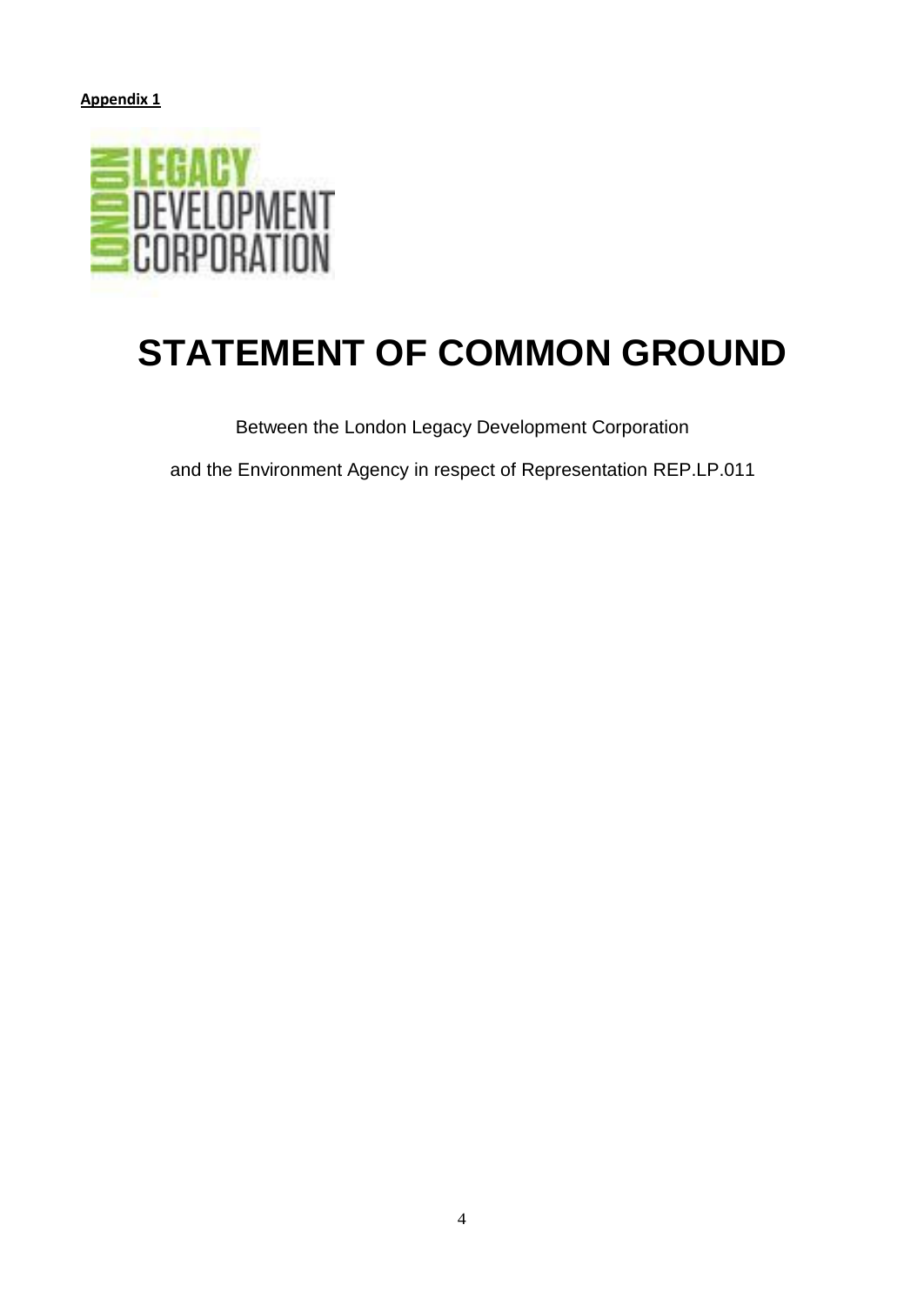#### **Appendix 1**



# **STATEMENT OF COMMON GROUND**

Between the London Legacy Development Corporation

and the Environment Agency in respect of Representation REP.LP.011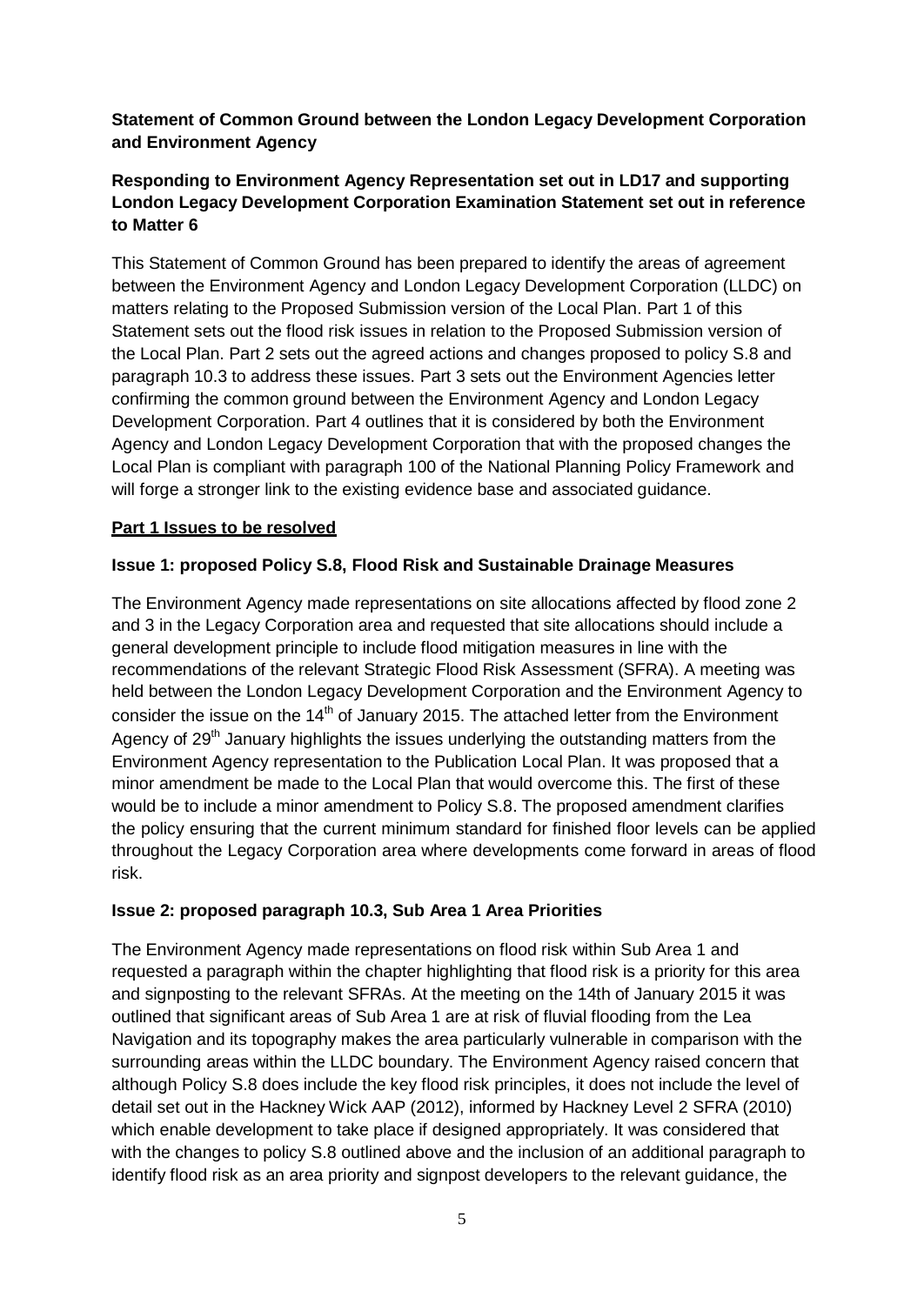#### **Statement of Common Ground between the London Legacy Development Corporation and Environment Agency**

### **Responding to Environment Agency Representation set out in LD17 and supporting London Legacy Development Corporation Examination Statement set out in reference to Matter 6**

This Statement of Common Ground has been prepared to identify the areas of agreement between the Environment Agency and London Legacy Development Corporation (LLDC) on matters relating to the Proposed Submission version of the Local Plan. Part 1 of this Statement sets out the flood risk issues in relation to the Proposed Submission version of the Local Plan. Part 2 sets out the agreed actions and changes proposed to policy S.8 and paragraph 10.3 to address these issues. Part 3 sets out the Environment Agencies letter confirming the common ground between the Environment Agency and London Legacy Development Corporation. Part 4 outlines that it is considered by both the Environment Agency and London Legacy Development Corporation that with the proposed changes the Local Plan is compliant with paragraph 100 of the National Planning Policy Framework and will forge a stronger link to the existing evidence base and associated guidance.

#### **Part 1 Issues to be resolved**

#### **Issue 1: proposed Policy S.8, Flood Risk and Sustainable Drainage Measures**

The Environment Agency made representations on site allocations affected by flood zone 2 and 3 in the Legacy Corporation area and requested that site allocations should include a general development principle to include flood mitigation measures in line with the recommendations of the relevant Strategic Flood Risk Assessment (SFRA). A meeting was held between the London Legacy Development Corporation and the Environment Agency to consider the issue on the 14<sup>th</sup> of January 2015. The attached letter from the Environment Agency of 29<sup>th</sup> January highlights the issues underlying the outstanding matters from the Environment Agency representation to the Publication Local Plan. It was proposed that a minor amendment be made to the Local Plan that would overcome this. The first of these would be to include a minor amendment to Policy S.8. The proposed amendment clarifies the policy ensuring that the current minimum standard for finished floor levels can be applied throughout the Legacy Corporation area where developments come forward in areas of flood risk.

#### **Issue 2: proposed paragraph 10.3, Sub Area 1 Area Priorities**

The Environment Agency made representations on flood risk within Sub Area 1 and requested a paragraph within the chapter highlighting that flood risk is a priority for this area and signposting to the relevant SFRAs. At the meeting on the 14th of January 2015 it was outlined that significant areas of Sub Area 1 are at risk of fluvial flooding from the Lea Navigation and its topography makes the area particularly vulnerable in comparison with the surrounding areas within the LLDC boundary. The Environment Agency raised concern that although Policy S.8 does include the key flood risk principles, it does not include the level of detail set out in the Hackney Wick AAP (2012), informed by Hackney Level 2 SFRA (2010) which enable development to take place if designed appropriately. It was considered that with the changes to policy S.8 outlined above and the inclusion of an additional paragraph to identify flood risk as an area priority and signpost developers to the relevant guidance, the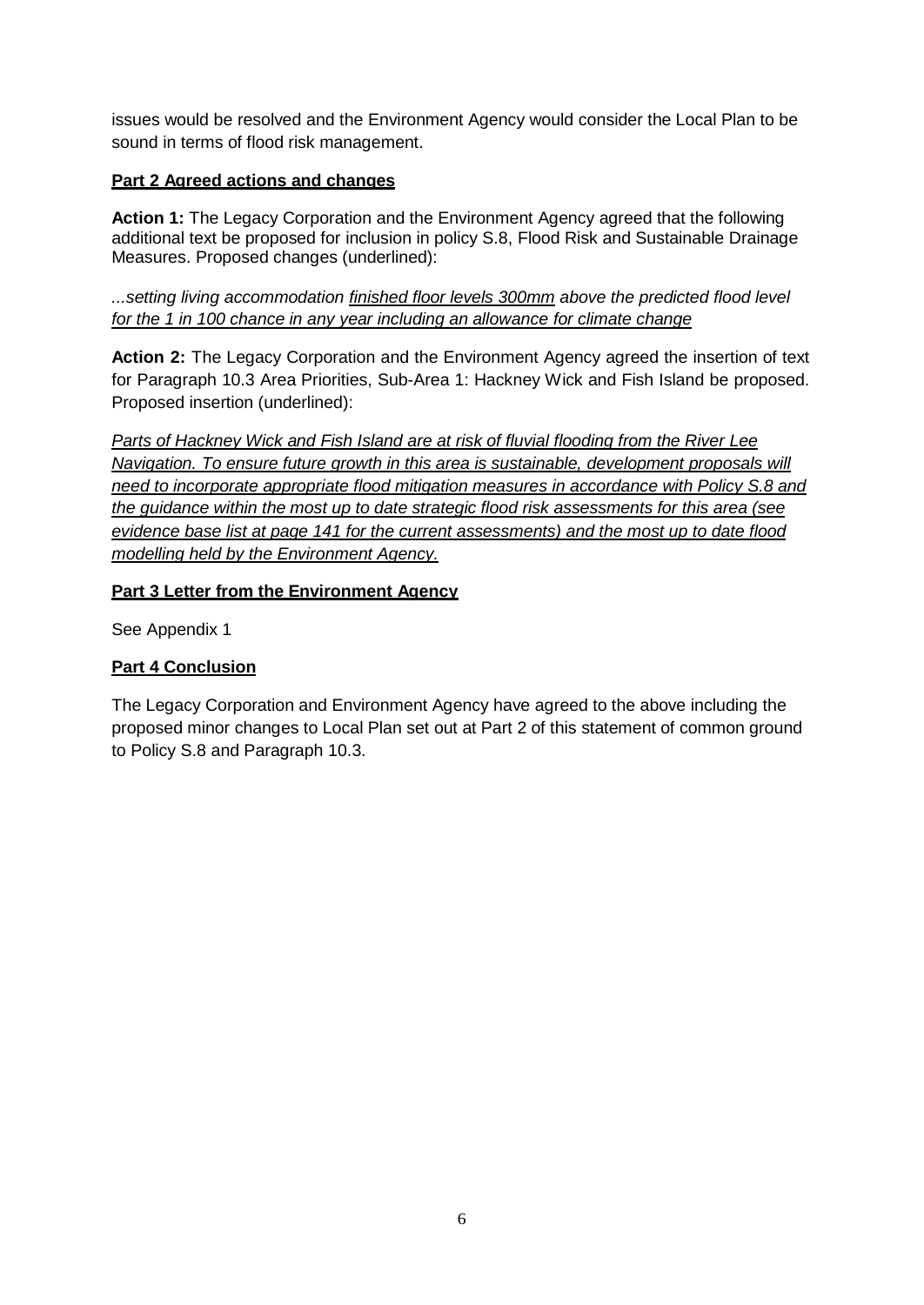issues would be resolved and the Environment Agency would consider the Local Plan to be sound in terms of flood risk management.

#### **Part 2 Agreed actions and changes**

**Action 1:** The Legacy Corporation and the Environment Agency agreed that the following additional text be proposed for inclusion in policy S.8, Flood Risk and Sustainable Drainage Measures. Proposed changes (underlined):

*...setting living accommodation finished floor levels 300mm above the predicted flood level for the 1 in 100 chance in any year including an allowance for climate change*

**Action 2:** The Legacy Corporation and the Environment Agency agreed the insertion of text for Paragraph 10.3 Area Priorities, Sub-Area 1: Hackney Wick and Fish Island be proposed. Proposed insertion (underlined):

*Parts of Hackney Wick and Fish Island are at risk of fluvial flooding from the River Lee Navigation. To ensure future growth in this area is sustainable, development proposals will need to incorporate appropriate flood mitigation measures in accordance with Policy S.8 and the guidance within the most up to date strategic flood risk assessments for this area (see evidence base list at page 141 for the current assessments) and the most up to date flood modelling held by the Environment Agency.*

#### **Part 3 Letter from the Environment Agency**

See Appendix 1

#### **Part 4 Conclusion**

The Legacy Corporation and Environment Agency have agreed to the above including the proposed minor changes to Local Plan set out at Part 2 of this statement of common ground to Policy S.8 and Paragraph 10.3.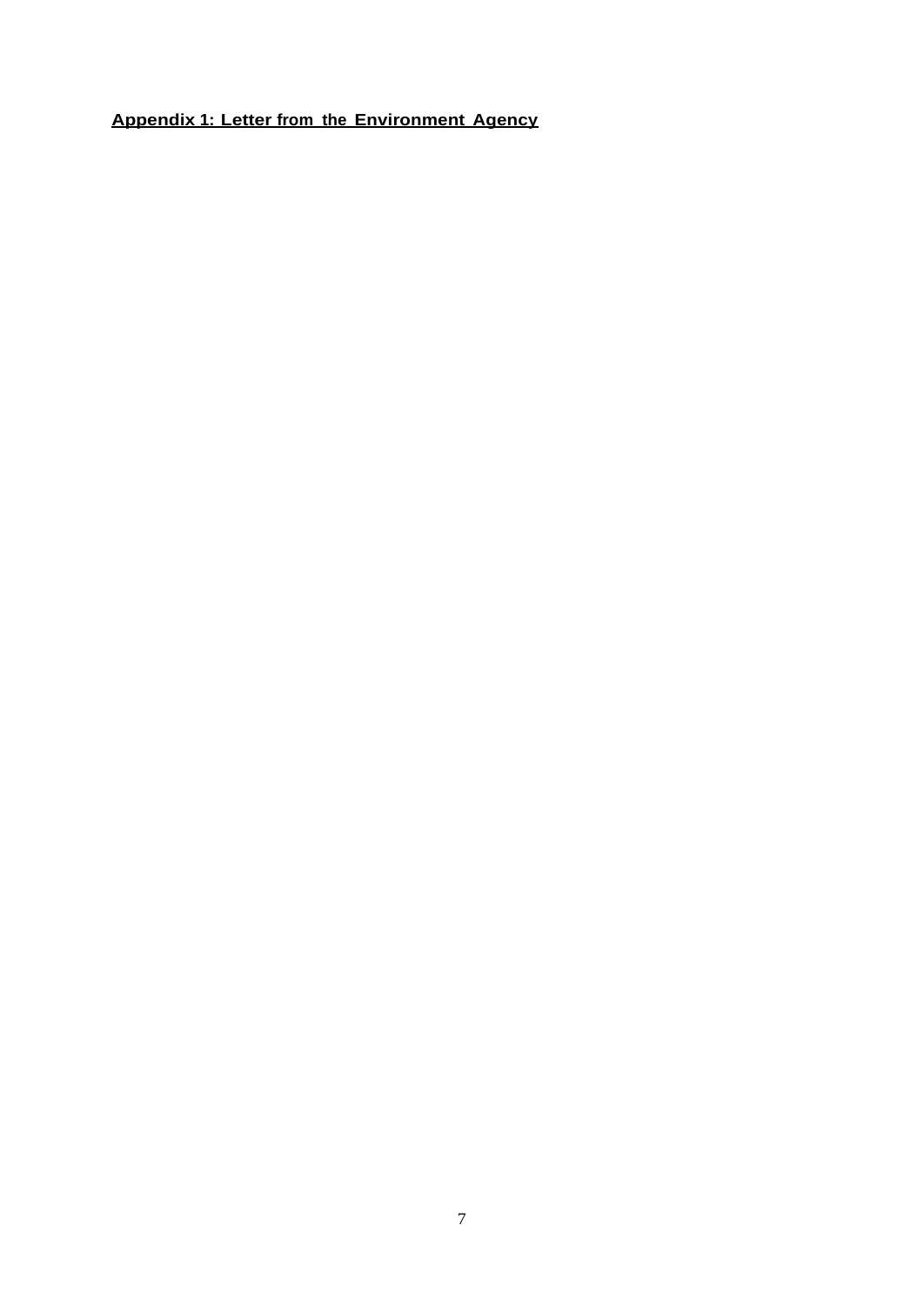**Appendix 1: Letter from the Environment Agency**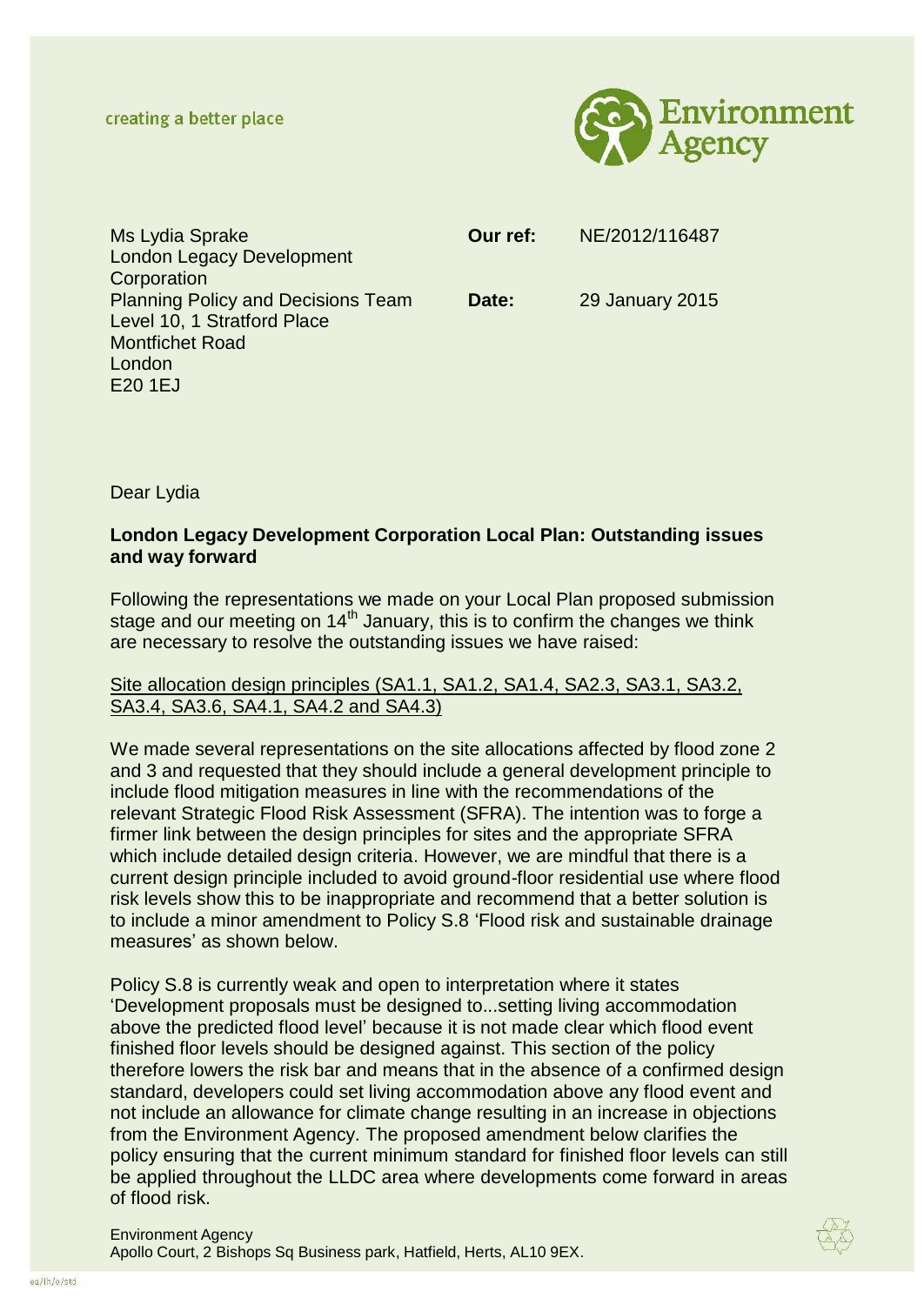

| Ms Lydia Sprake                           | Our ref: | NE/2012/116487  |
|-------------------------------------------|----------|-----------------|
| <b>London Legacy Development</b>          |          |                 |
| Corporation                               |          |                 |
| <b>Planning Policy and Decisions Team</b> | Date:    | 29 January 2015 |
| Level 10, 1 Stratford Place               |          |                 |
| <b>Montfichet Road</b>                    |          |                 |
| London                                    |          |                 |
| E20 1EJ                                   |          |                 |

Dear Lydia

#### **London Legacy Development Corporation Local Plan: Outstanding issues and way forward**

Following the representations we made on your Local Plan proposed submission stage and our meeting on  $14<sup>th</sup>$  January, this is to confirm the changes we think are necessary to resolve the outstanding issues we have raised:

#### Site allocation design principles (SA1.1, SA1.2, SA1.4, SA2.3, SA3.1, SA3.2, SA3.4, SA3.6, SA4.1, SA4.2 and SA4.3)

We made several representations on the site allocations affected by flood zone 2 and 3 and requested that they should include a general development principle to include flood mitigation measures in line with the recommendations of the relevant Strategic Flood Risk Assessment (SFRA). The intention was to forge a firmer link between the design principles for sites and the appropriate SFRA which include detailed design criteria. However, we are mindful that there is a current design principle included to avoid ground-floor residential use where flood risk levels show this to be inappropriate and recommend that a better solution is to include a minor amendment to Policy S.8 'Flood risk and sustainable drainage measures' as shown below.

Policy S.8 is currently weak and open to interpretation where it states 'Development proposals must be designed to...setting living accommodation above the predicted flood level' because it is not made clear which flood event finished floor levels should be designed against. This section of the policy therefore lowers the risk bar and means that in the absence of a confirmed design standard, developers could set living accommodation above any flood event and not include an allowance for climate change resulting in an increase in objections from the Environment Agency. The proposed amendment below clarifies the policy ensuring that the current minimum standard for finished floor levels can still be applied throughout the LLDC area where developments come forward in areas of flood risk.

## Environment Agency

Apollo Court, 2 Bishops Sq Business park, Hatfield, Herts, AL10 9EX.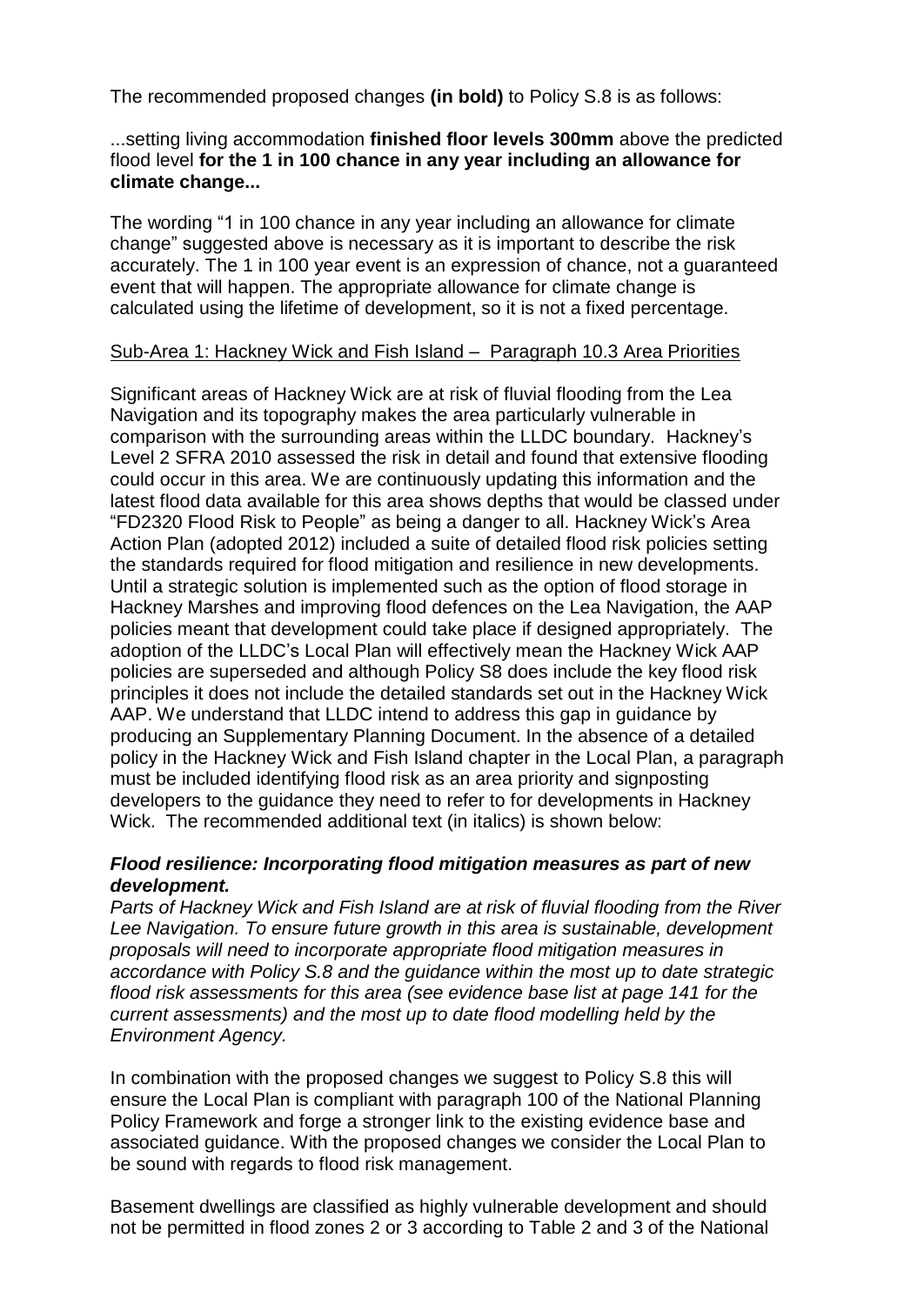The recommended proposed changes **(in bold)** to Policy S.8 is as follows:

#### ...setting living accommodation **finished floor levels 300mm** above the predicted flood level **for the 1 in 100 chance in any year including an allowance for climate change...**

The wording "1 in 100 chance in any year including an allowance for climate change" suggested above is necessary as it is important to describe the risk accurately. The 1 in 100 year event is an expression of chance, not a guaranteed event that will happen. The appropriate allowance for climate change is calculated using the lifetime of development, so it is not a fixed percentage.

#### Sub-Area 1: Hackney Wick and Fish Island – Paragraph 10.3 Area Priorities

Significant areas of Hackney Wick are at risk of fluvial flooding from the Lea Navigation and its topography makes the area particularly vulnerable in comparison with the surrounding areas within the LLDC boundary. Hackney's Level 2 SFRA 2010 assessed the risk in detail and found that extensive flooding could occur in this area. We are continuously updating this information and the latest flood data available for this area shows depths that would be classed under "FD2320 Flood Risk to People" as being a danger to all. Hackney Wick's Area Action Plan (adopted 2012) included a suite of detailed flood risk policies setting the standards required for flood mitigation and resilience in new developments. Until a strategic solution is implemented such as the option of flood storage in Hackney Marshes and improving flood defences on the Lea Navigation, the AAP policies meant that development could take place if designed appropriately. The adoption of the LLDC's Local Plan will effectively mean the Hackney Wick AAP policies are superseded and although Policy S8 does include the key flood risk principles it does not include the detailed standards set out in the Hackney Wick AAP. We understand that LLDC intend to address this gap in guidance by producing an Supplementary Planning Document. In the absence of a detailed policy in the Hackney Wick and Fish Island chapter in the Local Plan, a paragraph must be included identifying flood risk as an area priority and signposting developers to the guidance they need to refer to for developments in Hackney Wick. The recommended additional text (in italics) is shown below:

#### *Flood resilience: Incorporating flood mitigation measures as part of new development.*

*Parts of Hackney Wick and Fish Island are at risk of fluvial flooding from the River Lee Navigation. To ensure future growth in this area is sustainable, development proposals will need to incorporate appropriate flood mitigation measures in accordance with Policy S.8 and the guidance within the most up to date strategic flood risk assessments for this area (see evidence base list at page 141 for the current assessments) and the most up to date flood modelling held by the Environment Agency.*

In combination with the proposed changes we suggest to Policy S.8 this will ensure the Local Plan is compliant with paragraph 100 of the National Planning Policy Framework and forge a stronger link to the existing evidence base and associated guidance. With the proposed changes we consider the Local Plan to be sound with regards to flood risk management.

Basement dwellings are classified as highly vulnerable development and should not be permitted in flood zones 2 or 3 according to Table 2 and 3 of the National